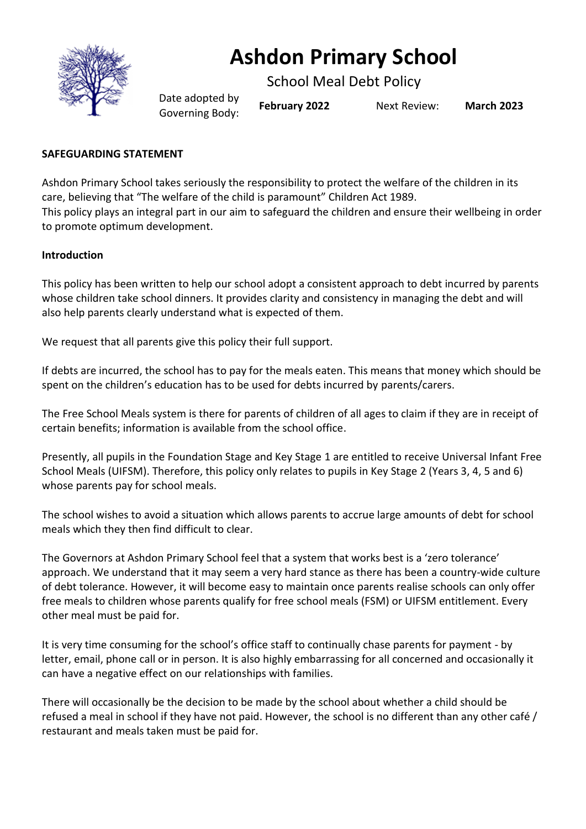

# **Ashdon Primary School**

School Meal Debt Policy

Date adopted by Governing Body: **February <sup>2022</sup>** Next Review: **March <sup>2023</sup>**

## **SAFEGUARDING STATEMENT**

Ashdon Primary School takes seriously the responsibility to protect the welfare of the children in its care, believing that "The welfare of the child is paramount" Children Act 1989. This policy plays an integral part in our aim to safeguard the children and ensure their wellbeing in order to promote optimum development.

#### **Introduction**

This policy has been written to help our school adopt a consistent approach to debt incurred by parents whose children take school dinners. It provides clarity and consistency in managing the debt and will also help parents clearly understand what is expected of them.

We request that all parents give this policy their full support.

If debts are incurred, the school has to pay for the meals eaten. This means that money which should be spent on the children's education has to be used for debts incurred by parents/carers.

The Free School Meals system is there for parents of children of all ages to claim if they are in receipt of certain benefits; information is available from the school office.

Presently, all pupils in the Foundation Stage and Key Stage 1 are entitled to receive Universal Infant Free School Meals (UIFSM). Therefore, this policy only relates to pupils in Key Stage 2 (Years 3, 4, 5 and 6) whose parents pay for school meals.

The school wishes to avoid a situation which allows parents to accrue large amounts of debt for school meals which they then find difficult to clear.

The Governors at Ashdon Primary School feel that a system that works best is a 'zero tolerance' approach. We understand that it may seem a very hard stance as there has been a country-wide culture of debt tolerance. However, it will become easy to maintain once parents realise schools can only offer free meals to children whose parents qualify for free school meals (FSM) or UIFSM entitlement. Every other meal must be paid for.

It is very time consuming for the school's office staff to continually chase parents for payment - by letter, email, phone call or in person. It is also highly embarrassing for all concerned and occasionally it can have a negative effect on our relationships with families.

There will occasionally be the decision to be made by the school about whether a child should be refused a meal in school if they have not paid. However, the school is no different than any other café / restaurant and meals taken must be paid for.